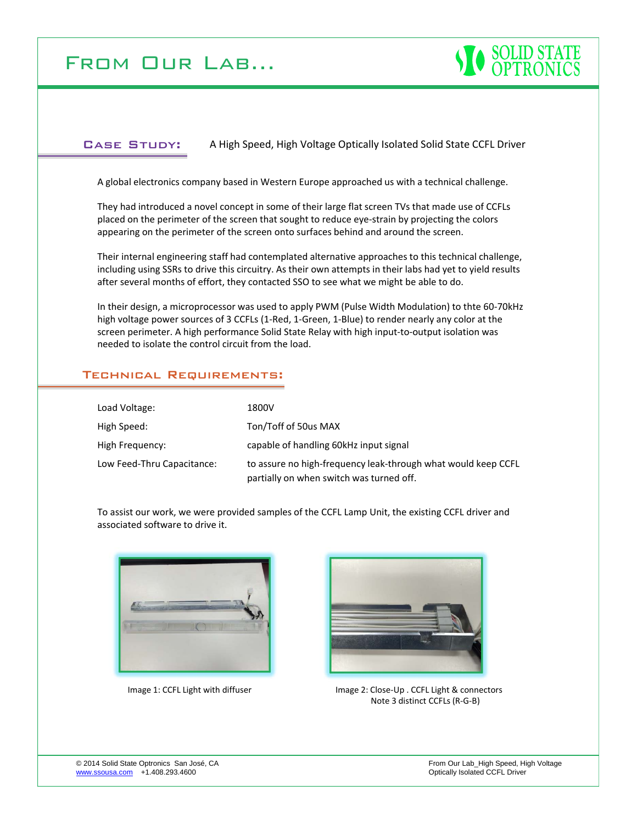# From Our Lab…



#### Case Study: A High Speed, High Voltage Optically Isolated Solid State CCFL Driver

A global electronics company based in Western Europe approached us with a technical challenge.

They had introduced a novel concept in some of their large flat screen TVs that made use of CCFLs placed on the perimeter of the screen that sought to reduce eye‐strain by projecting the colors appearing on the perimeter of the screen onto surfaces behind and around the screen.

Their internal engineering staff had contemplated alternative approaches to this technical challenge, including using SSRs to drive this circuitry. As their own attempts in their labs had yet to yield results after several months of effort, they contacted SSO to see what we might be able to do.

In their design, a microprocessor was used to apply PWM (Pulse Width Modulation) to thte 60‐70kHz high voltage power sources of 3 CCFLs (1‐Red, 1‐Green, 1‐Blue) to render nearly any color at the screen perimeter. A high performance Solid State Relay with high input-to-output isolation was needed to isolate the control circuit from the load.

#### Technical Requirements:

| Load Voltage:              | 1800V                                                                                                     |
|----------------------------|-----------------------------------------------------------------------------------------------------------|
|                            |                                                                                                           |
| High Speed:                | Ton/Toff of 50us MAX                                                                                      |
| High Frequency:            | capable of handling 60kHz input signal                                                                    |
| Low Feed-Thru Capacitance: | to assure no high-frequency leak-through what would keep CCFL<br>partially on when switch was turned off. |

To assist our work, we were provided samples of the CCFL Lamp Unit, the existing CCFL driver and associated software to drive it.





Image 1: CCFL Light with diffuser Image 2: Close-Up . CCFL Light & connectors Note 3 distinct CCFLs (R‐G‐B)